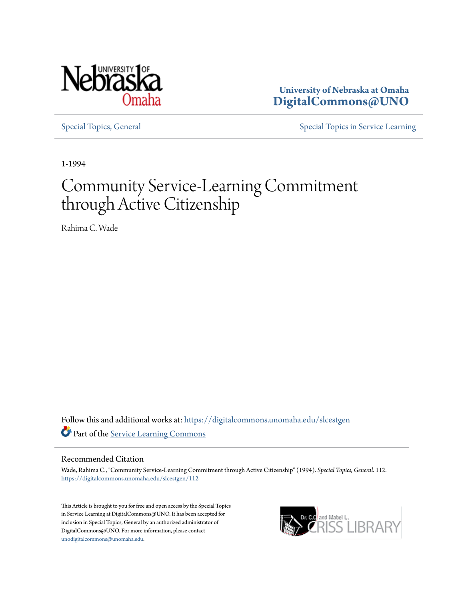

**University of Nebraska at Omaha [DigitalCommons@UNO](https://digitalcommons.unomaha.edu?utm_source=digitalcommons.unomaha.edu%2Fslcestgen%2F112&utm_medium=PDF&utm_campaign=PDFCoverPages)**

[Special Topics, General](https://digitalcommons.unomaha.edu/slcestgen?utm_source=digitalcommons.unomaha.edu%2Fslcestgen%2F112&utm_medium=PDF&utm_campaign=PDFCoverPages) [Special Topics in Service Learning](https://digitalcommons.unomaha.edu/slcespecialtopics?utm_source=digitalcommons.unomaha.edu%2Fslcestgen%2F112&utm_medium=PDF&utm_campaign=PDFCoverPages)

1-1994

# Community Service-Learning Commitment through Active Citizenship

Rahima C. Wade

Follow this and additional works at: [https://digitalcommons.unomaha.edu/slcestgen](https://digitalcommons.unomaha.edu/slcestgen?utm_source=digitalcommons.unomaha.edu%2Fslcestgen%2F112&utm_medium=PDF&utm_campaign=PDFCoverPages) Part of the [Service Learning Commons](http://network.bepress.com/hgg/discipline/1024?utm_source=digitalcommons.unomaha.edu%2Fslcestgen%2F112&utm_medium=PDF&utm_campaign=PDFCoverPages)

#### Recommended Citation

Wade, Rahima C., "Community Service-Learning Commitment through Active Citizenship" (1994). *Special Topics, General*. 112. [https://digitalcommons.unomaha.edu/slcestgen/112](https://digitalcommons.unomaha.edu/slcestgen/112?utm_source=digitalcommons.unomaha.edu%2Fslcestgen%2F112&utm_medium=PDF&utm_campaign=PDFCoverPages)

This Article is brought to you for free and open access by the Special Topics in Service Learning at DigitalCommons@UNO. It has been accepted for inclusion in Special Topics, General by an authorized administrator of DigitalCommons@UNO. For more information, please contact [unodigitalcommons@unomaha.edu](mailto:unodigitalcommons@unomaha.edu).

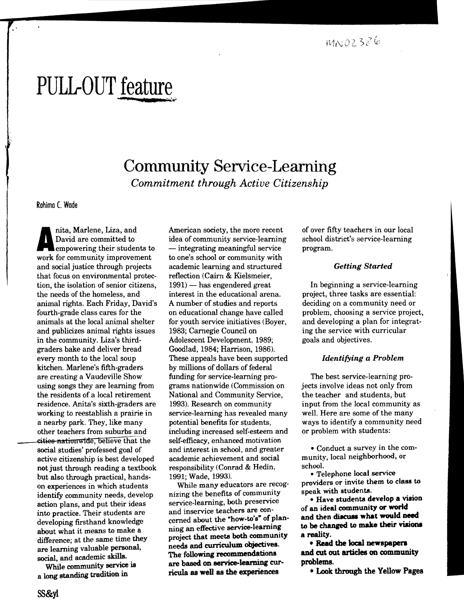# PULL-OUT <u>feature</u>

# Community Service-Learning *Commitment through Active Citizenship*

Rohimo C. Wode

nita, Marlene, Liza, and<br>David are committed to<br>empowering their students to<br>work for community improvement nita, Marlene, Liza, and David are committed to empowering their students to and social justice through projects that focus on environmental protection, the isolation of senior citizens, the needs of the homeless, and animal rights, Each Friday, David's fourth-grade class cares for the animals at the local animal shelter and publicizes animal rights issues in the community. Liza's thirdgraders bake and deliver bread every month to the local soup kitchen. Marlene's fifth-graders are creating a Vaudeville Show using songs they are learning from the residents of a local retirement residence. Anita's sixth-graders are working to reestablish a prairie in a nearby park. They, like many other teachers from suburbs and .cities nationwide, belIeve that the social studies' professed goal of active citizenship is best developed not just through reading a textbook but also through practical, handson experiences in which students identify community needs, develop action plans, and put their ideas into practice. Their students are developing firsthand knowledge about what it means to make a difference; at the same time they are learning valuable personal, social, and academic skills.

While community service is a long standing tradition in

American society, the more recent idea of community service-learning - integrating meaningful service to one's school or community with academic learning and structured reflection (Cairn & Kielsmeier,  $1991$  - has engendered great interest in the educational arena. A number of studies and reports on educational change have called for youth service initiatives (Boyer, 1983; Carnegie Council on Adolescent Development, 1989; Goodlad, 1984; Harrison, 1986). These appeals have been supported by millions of dollars of federal funding for service-learning programs nationwide (Commission on National and Community Service, 1993). Research on community service-learning has revealed many potential benefits for students, including increased self-esteem and self-efficacy, enhanced motivation and interest in school, and greater academic achievement and social responsibility (Conrad & Hedin, 1991; Wade, 1993).

While many educators are recognizing the benefits of community service-learning, both preservice and inservice teachers are concerned about the "how-to's" of planning an effective service-Ieaming project that meets both community needs and curriculum objectives. The following recommendations are based on service-learning curricula as well as the experiences

of over fifty teachers in our local school district's service.learning program.

#### *Getting Started*

In beginning a service-learning project, three tasks are essential: deciding on a community need or problem, choosing a service project, and developing a plan for integrat· ing the service with curricular goals and objectives.

#### *Identifying a Problem*

The best service-learning projects involve ideas not only from the teacher and students, but input from the local community as well. Here are some of the many ways to identify a community need or problem with students:

• Conduct a survey in the community, local neighborhood, or school.

• Telephone local service providers or invite them to class to speak with students.

• Have students develop a vision of an ideal community or world and then discuss what would need to be changed to make their visions a reality.

• Read the local newspapers and cut out articles on community problems.

• IAok through the Yellow Pages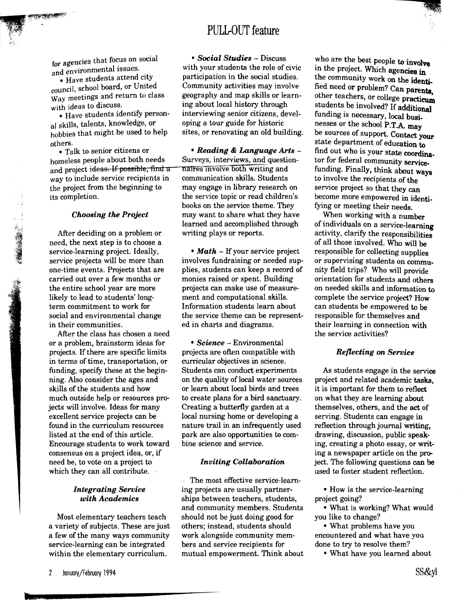

### PULL-OUT feature

for agencies that focus on social and environmental issues.

• Have students attend city council, school board, or United Way meetings and return to class with ideas to discuss.

• Have students identify personal skills, talents, knowledge, or hobbies that might be used to help others.

• Talk to senior citizens or homeless people about both needs and project ideas. If possible, find a way to include service recipients in the project from the beginning to its completion.

#### *Choosing the Project*

After deciding on a problem or need, the next step is to choose a service-learning project. Ideally, service projects will be more than one-time events. Projects that are carried out over a few months or the entire school year are more likely to lead to students' longterm commitment to work for social and environmental change in their communities.

After the class has chosen a need or a problem, brainstorm ideas for projects. If there are specific limits in terms of time, transportation, or funding, specify these at the beginning. Also consider the ages and skills of the students and how much outside help or resources projects will involve. Ideas for many excellent service projects can be found in the curriculum resources listed at the end of this article. Encourage students to work toward consensus on a project idea, or, if need be, to vote on a project to which they can all contribute.

#### *Integrating Service with Academics*

Most elementary teachers teach a variety of subjects. These are just a few of the many ways community service-learning can be integrated within the elementary curriculum.

*• Social Studies* - Discuss with your students the role of civic participation in the social studies. Community activities may involve geography and map skills or learning about local history through interviewing senior citizens, developing a tour guide for historic sites, or renovating an old building.

*• Reading* & *Language Arts*  Surveys, interviews, and questionnaIres Involve both writing and communication skills. Students may engage in library research on the service topic or read children's books on the service theme. They may want to share what they have learned and accomplished through writing plays or reports.

• *Math* – If your service project involves fundraising or needed supplies, students can keep a record of monies raised or spent. Building projects can make use of measurement and computational skills. Information students learn about the service theme can be represented in charts and diagrams.

*• Science* - Environmental projects are often compatible with curricular objectives in science. Students can conduct experiments on the quality of local water sources or learn about local birds and trees to create plans for a bird sanctuary. Creating a butterfly garden at a local nursing home or developing a nature trail in an infrequently used park are also opportunities to combine science and service.

#### *Inviting Collaboration*

The most effective service-learning projects are usually partnerships between teachers, students, and community members. Students should not be just doing good for others; instead, students should work alongside community members and service recipients for mutual empowerment. Think about

who are the best people to involve in the project. Which agencies in the community work on the identified need or problem? Can parents, other teachers, or college practicum students be involved? If additional funding is necessary, local businesses or the school P.TA may be sources of support. Contact your state department of education to find out who is your state coordina. tor for federal community servicefunding. Finally, think about ways to involve the recipients of the service project so that they can become more empowered in identifying or meeting their needs.

• 0' '

When working with a number of individuals on a service-learning activity, clarifY the responsibilities of all those involved. Who will be responsible for collecting supplies or supervising students on community field trips? Who will provide orientation for students and others on needed skills and information to complete the service project? How can students be empowered to be responsible for themselves and their learning in connection with the service activities?

#### *Reflecting on Service*

As students engage in the service project and related academic tasks, it is important for them to reflect on what they are learning about themselves, others, and the act of serving. Students can engage in reflection through journal writing, drawing, discussion, public speaking, creating a photo essay, or writing a newspaper article on the project. The following questions can be used to foster student reflection.

• How is the service-learning project going?

• What is working? What would you like to change?

• What problems have you encountered and what have you done to try to resolve them?

• What have you learned about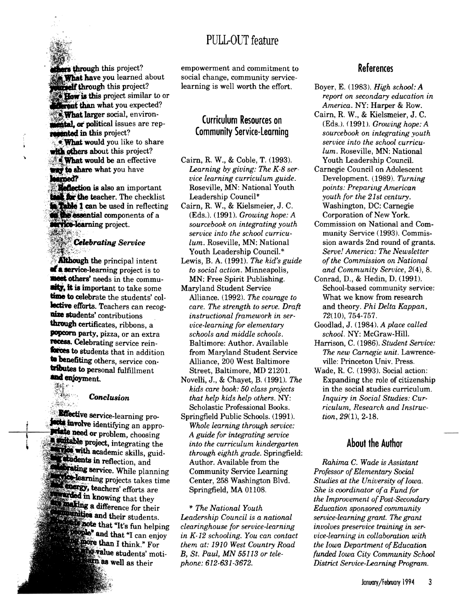## PULL-OUT feature



\

thers through this project? **What have you learned about Belf through this project?** How is this project similar to or *Corent* than what you expected? **What larger social, environ**intal, or political issues are rep**mented in this project?** 

. What would you like to share with others about this project? **What would be an effective** way to share what you have herned?

Reflection is also an important the teacher. The checklist **Table 1 can be used in reflecting** the essential components of a **Tice-learning project.** 

# **Celebrating Service**

**Although the principal intent af a service-learning project is to** meet others' needs in the commu**aity, it is important to take some** time to celebrate the students' collective efforts. Teachers can recogaize students' contributions through certificates, ribbons, a popcorn party, pizza, or an extra recess. Celebrating service reinforces to students that in addition to benefiting others, service contributes to personal fulfillment  $\mathcal{J}_{\mathcal{M}_\mathcal{C}}$  .

#### $Conclusion$

 $\mathcal{P}_{\mathbb{R}^3}$  .

:~-'~:\*\*\*\*\*\*\*\*\*\*\*\*\*\*\*\*\*

**Effective service-learning pro-Jose involve identifying an appro**whate need or problem, choosing **soutable project, integrating the academic** skills, guidstudents in reflection, and service. While planning ning projects takes time **. energy, teachers' efforts are knowing** that they **Analting a difference for their** aunities and their students. the note that "It's fun helping and that "I can enjoy than I think." For **students'** moti**well** as their

empowerment and commitment to social change, community servicelearning is well worth the effort.

### Curriculum Resources on Community Service-learning

- Cairn, R. W., & Coble, T. (1993). *Learning by giving: The K-8 vice learning curriculum guide.*  Roseville, MN: National Youth Leadership Council\*
- Cairn, R. W., & Kielsmeier, J. C. (Eds.). (1991). *Growing hope: A sourcebook on integrating youth lum.*  Roseville, MN: National Youth Leadership Council.\* *service into the school*
- Lewis, B. A. (1991). *The kid's guide to social action.* Minneapolis, MN: Free Spirit Publishing.
- Maryland Student Service Alliance. (1992). *The courage to care. The strength to serve. Draft*  Alliance, 200 West Baltimore *instructional framework*  from Maryland Student Service *schools and middle schools.*  Street, Baltimore, MD 21201. *vice-learning for elementary*  Baltimore: Author. Available
- Novelli, J., & Chayet, B. (1991). *The kids care book: 50 class projects that help kids help others.* NY: Scholastic Professional Books.
- Springfield Public Schools. (1991). *Whole learning through service: A guide for integrating service into the curriculum kindergarten through eighth grade.* Springfield: Author. Available from the Community Service Learning Center, 258 Washington Blvd. Springfield, MA 01108.

\* *The National Youth Leadership Council is a national clearinghouse for service-learning in K-12 schooling. You can contact them at: 1910 West Country Road B, St. Paul, phone: 612-631-3672.* 

### References

- Boyer, E. (1983). *High school: A report on secondary education in America.* h'Y: Harper & Row.
- Cairn, R. W., & Kielsmeier, J. C. (Eds.). (1991). *Growing hope: A sourcebook on integrating youth*  Youth Leadership Council. *lum.*  Roseville, MN: National *service into the school curricu-*
- *ser-*Carnegie Council on Adolescent *youth for the 21st century. points: Preparing American*  Washington, DC: Carnegie Corporation of New York. Development. (1989). *Turning*
- *curricu* munity Service (1993). Commis-Commission on National and Comsion awards 2nd round of grants. *Serve! America: The Newsletter ofthe Commission on National and Community Service,* 2(4),8.
	- *in ser-*72(10),754-757. Conrad, D., & Hedin, D. (1991). School-based community service: What we know from research and theory. *Phi Delta Kappan,* 
		- Goodlad, J. (1984). *A place called school.* NY: McGraw-Hill.
		- Harrison, C. (1986). *Student Service:*  The *new Carnegie unit.* Lawrenceville: Princeton Univ. Press.
		- Wade, R. C. (1993). Social action: Expanding the role of citizenship in the social studies curriculum. *tion*, 29(1), 2-18. *Inquiry in Social Studies: riculum, Research and I nstruc-Cur-*<br>*truc-*<br>nt<br>l<br>l<br>wa.

#### About the Author

*MN* 55113 *or tele-funded Iowa City Community School Professor of Elementary Social Studies at the University of Iowa Rahima*  C. *Wade is Assistant She is coordinator ofa Fund for the Improvement of Post-Secondary Education sponsored community service-learning grant. The grant the Iowa Department ofEducation District Service-Learning Program. involves preservice training in vice-learning in collaboration with ser-*